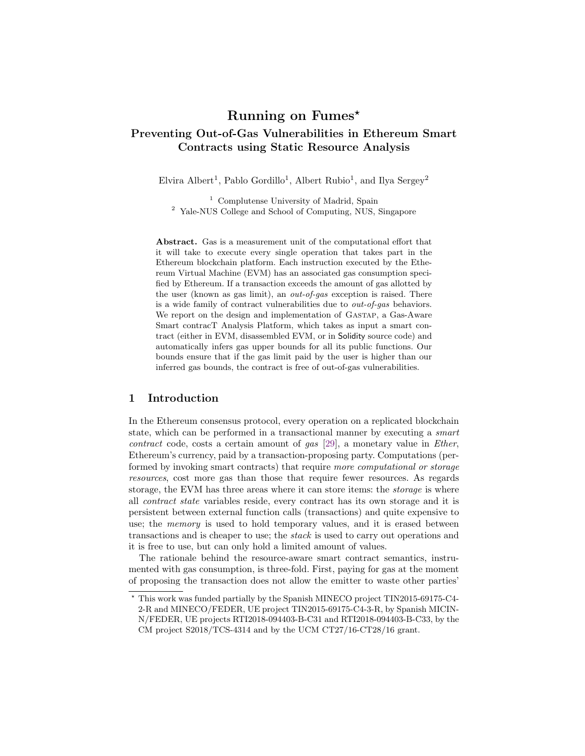# Running on Fumes\*

# Preventing Out-of-Gas Vulnerabilities in Ethereum Smart Contracts using Static Resource Analysis

Elvira Albert<sup>1</sup>, Pablo Gordillo<sup>1</sup>, Albert Rubio<sup>1</sup>, and Ilya Sergey<sup>2</sup>

<sup>1</sup> Complutense University of Madrid, Spain <sup>2</sup> Yale-NUS College and School of Computing, NUS, Singapore

Abstract. Gas is a measurement unit of the computational effort that it will take to execute every single operation that takes part in the Ethereum blockchain platform. Each instruction executed by the Ethereum Virtual Machine (EVM) has an associated gas consumption specified by Ethereum. If a transaction exceeds the amount of gas allotted by the user (known as gas limit), an out-of-gas exception is raised. There is a wide family of contract vulnerabilities due to out-of-gas behaviors. We report on the design and implementation of GASTAP, a Gas-Aware Smart contracT Analysis Platform, which takes as input a smart contract (either in EVM, disassembled EVM, or in Solidity source code) and automatically infers gas upper bounds for all its public functions. Our bounds ensure that if the gas limit paid by the user is higher than our inferred gas bounds, the contract is free of out-of-gas vulnerabilities.

## <span id="page-0-0"></span>1 Introduction

In the Ethereum consensus protocol, every operation on a replicated blockchain state, which can be performed in a transactional manner by executing a smart contract code, costs a certain amount of gas [\[29\]](#page-14-0), a monetary value in Ether, Ethereum's currency, paid by a transaction-proposing party. Computations (performed by invoking smart contracts) that require more computational or storage resources, cost more gas than those that require fewer resources. As regards storage, the EVM has three areas where it can store items: the *storage* is where all contract state variables reside, every contract has its own storage and it is persistent between external function calls (transactions) and quite expensive to use; the *memory* is used to hold temporary values, and it is erased between transactions and is cheaper to use; the stack is used to carry out operations and it is free to use, but can only hold a limited amount of values.

The rationale behind the resource-aware smart contract semantics, instrumented with gas consumption, is three-fold. First, paying for gas at the moment of proposing the transaction does not allow the emitter to waste other parties'

<sup>?</sup> This work was funded partially by the Spanish MINECO project TIN2015-69175-C4- 2-R and MINECO/FEDER, UE project TIN2015-69175-C4-3-R, by Spanish MICIN-N/FEDER, UE projects RTI2018-094403-B-C31 and RTI2018-094403-B-C33, by the CM project S2018/TCS-4314 and by the UCM CT27/16-CT28/16 grant.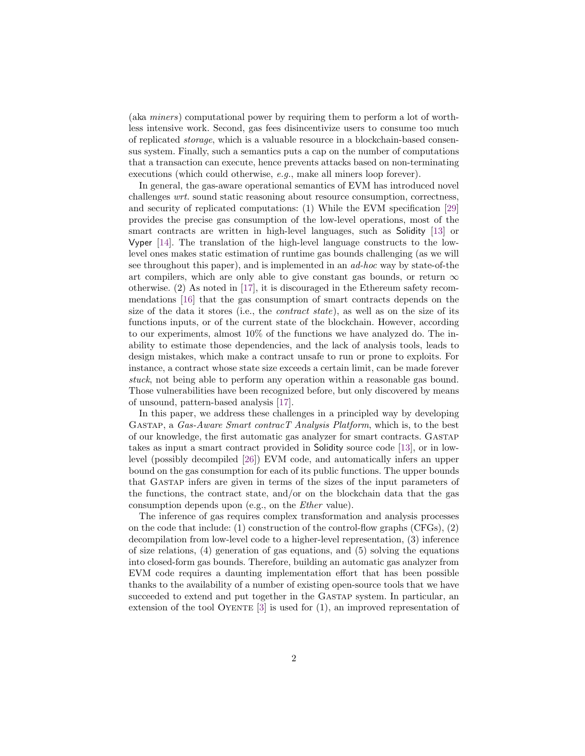(aka miners) computational power by requiring them to perform a lot of worthless intensive work. Second, gas fees disincentivize users to consume too much of replicated storage, which is a valuable resource in a blockchain-based consensus system. Finally, such a semantics puts a cap on the number of computations that a transaction can execute, hence prevents attacks based on non-terminating executions (which could otherwise, e.g., make all miners loop forever).

In general, the gas-aware operational semantics of EVM has introduced novel challenges wrt. sound static reasoning about resource consumption, correctness, and security of replicated computations: (1) While the EVM specification [\[29\]](#page-14-0) provides the precise gas consumption of the low-level operations, most of the smart contracts are written in high-level languages, such as Solidity [\[13\]](#page-14-1) or Vyper [\[14\]](#page-14-2). The translation of the high-level language constructs to the lowlevel ones makes static estimation of runtime gas bounds challenging (as we will see throughout this paper), and is implemented in an ad-hoc way by state-of-the art compilers, which are only able to give constant gas bounds, or return  $\infty$ otherwise. (2) As noted in [\[17\]](#page-14-3), it is discouraged in the Ethereum safety recommendations [\[16\]](#page-14-4) that the gas consumption of smart contracts depends on the size of the data it stores (i.e., the contract state), as well as on the size of its functions inputs, or of the current state of the blockchain. However, according to our experiments, almost 10% of the functions we have analyzed do. The inability to estimate those dependencies, and the lack of analysis tools, leads to design mistakes, which make a contract unsafe to run or prone to exploits. For instance, a contract whose state size exceeds a certain limit, can be made forever stuck, not being able to perform any operation within a reasonable gas bound. Those vulnerabilities have been recognized before, but only discovered by means of unsound, pattern-based analysis [\[17\]](#page-14-3).

In this paper, we address these challenges in a principled way by developing GASTAP, a Gas-Aware Smart contracT Analysis Platform, which is, to the best of our knowledge, the first automatic gas analyzer for smart contracts. Gastap takes as input a smart contract provided in Solidity source code [\[13\]](#page-14-1), or in lowlevel (possibly decompiled [\[26\]](#page-14-5)) EVM code, and automatically infers an upper bound on the gas consumption for each of its public functions. The upper bounds that Gastap infers are given in terms of the sizes of the input parameters of the functions, the contract state, and/or on the blockchain data that the gas consumption depends upon (e.g., on the Ether value).

The inference of gas requires complex transformation and analysis processes on the code that include:  $(1)$  construction of the control-flow graphs  $(CFGs)$ ,  $(2)$ decompilation from low-level code to a higher-level representation, (3) inference of size relations, (4) generation of gas equations, and (5) solving the equations into closed-form gas bounds. Therefore, building an automatic gas analyzer from EVM code requires a daunting implementation effort that has been possible thanks to the availability of a number of existing open-source tools that we have succeeded to extend and put together in the Gastap system. In particular, an extension of the tool OYENTE  $[3]$  is used for  $(1)$ , an improved representation of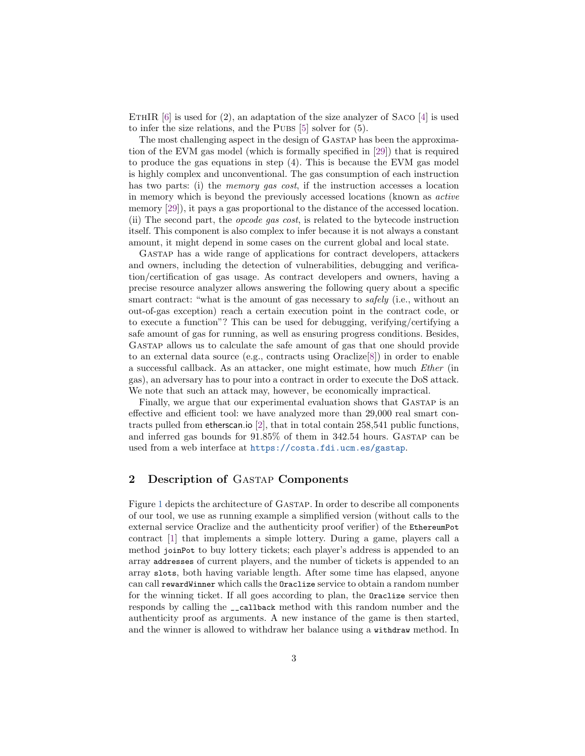ETHIR  $[6]$  is used for  $(2)$ , an adaptation of the size analyzer of SACO  $[4]$  is used to infer the size relations, and the Pubs [\[5\]](#page-13-3) solver for (5).

The most challenging aspect in the design of Gastap has been the approximation of the EVM gas model (which is formally specified in [\[29\]](#page-14-0)) that is required to produce the gas equations in step (4). This is because the EVM gas model is highly complex and unconventional. The gas consumption of each instruction has two parts: (i) the *memory gas cost*, if the instruction accesses a location in memory which is beyond the previously accessed locations (known as active memory [\[29\]](#page-14-0)), it pays a gas proportional to the distance of the accessed location. (ii) The second part, the opcode gas cost, is related to the bytecode instruction itself. This component is also complex to infer because it is not always a constant amount, it might depend in some cases on the current global and local state.

Gastap has a wide range of applications for contract developers, attackers and owners, including the detection of vulnerabilities, debugging and verification/certification of gas usage. As contract developers and owners, having a precise resource analyzer allows answering the following query about a specific smart contract: "what is the amount of gas necessary to *safely* (i.e., without an out-of-gas exception) reach a certain execution point in the contract code, or to execute a function"? This can be used for debugging, verifying/certifying a safe amount of gas for running, as well as ensuring progress conditions. Besides, Gastap allows us to calculate the safe amount of gas that one should provide to an external data source (e.g., contracts using Oraclize[\[8\]](#page-13-4)) in order to enable a successful callback. As an attacker, one might estimate, how much Ether (in gas), an adversary has to pour into a contract in order to execute the DoS attack. We note that such an attack may, however, be economically impractical.

Finally, we argue that our experimental evaluation shows that Gastap is an effective and efficient tool: we have analyzed more than 29,000 real smart contracts pulled from etherscan.io [\[2\]](#page-13-5), that in total contain 258,541 public functions, and inferred gas bounds for 91.85% of them in 342.54 hours. Gastap can be used from a web interface at <https://costa.fdi.ucm.es/gastap>.

## 2 Description of Gastap Components

Figure [1](#page-3-0) depicts the architecture of Gastap. In order to describe all components of our tool, we use as running example a simplified version (without calls to the external service Oraclize and the authenticity proof verifier) of the EthereumPot contract [\[1\]](#page-13-6) that implements a simple lottery. During a game, players call a method joinPot to buy lottery tickets; each player's address is appended to an array addresses of current players, and the number of tickets is appended to an array slots, both having variable length. After some time has elapsed, anyone can call rewardWinner which calls the Oraclize service to obtain a random number for the winning ticket. If all goes according to plan, the Oraclize service then responds by calling the \_\_callback method with this random number and the authenticity proof as arguments. A new instance of the game is then started, and the winner is allowed to withdraw her balance using a withdraw method. In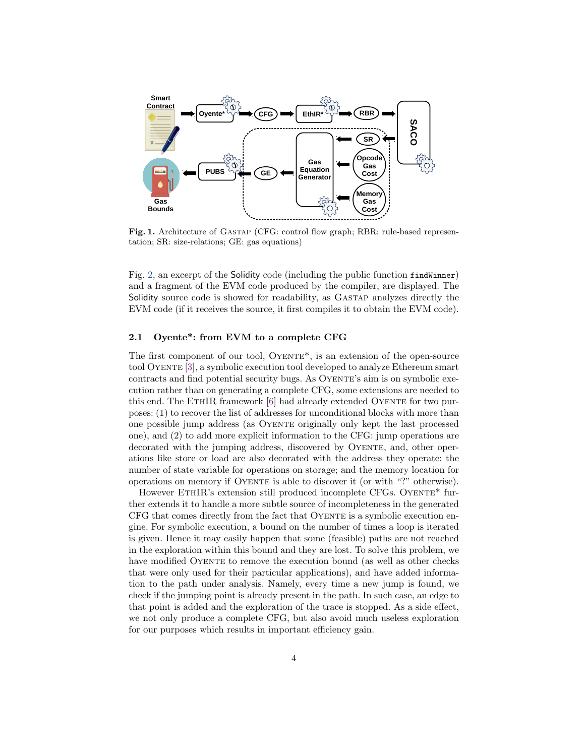

<span id="page-3-0"></span>Fig. 1. Architecture of Gastap (CFG: control flow graph; RBR: rule-based representation; SR: size-relations; GE: gas equations)

Fig. [2,](#page-4-0) an excerpt of the Solidity code (including the public function findWinner) and a fragment of the EVM code produced by the compiler, are displayed. The Solidity source code is showed for readability, as Gastap analyzes directly the EVM code (if it receives the source, it first compiles it to obtain the EVM code).

### 2.1 Oyente\*: from EVM to a complete CFG

The first component of our tool,  $OYENTE^*$ , is an extension of the open-source tool Oyente [\[3\]](#page-13-0), a symbolic execution tool developed to analyze Ethereum smart contracts and find potential security bugs. As OYENTE's aim is on symbolic execution rather than on generating a complete CFG, some extensions are needed to this end. The ETHIR framework [\[6\]](#page-13-1) had already extended OYENTE for two purposes: (1) to recover the list of addresses for unconditional blocks with more than one possible jump address (as Oyente originally only kept the last processed one), and (2) to add more explicit information to the CFG: jump operations are decorated with the jumping address, discovered by OYENTE, and, other operations like store or load are also decorated with the address they operate: the number of state variable for operations on storage; and the memory location for operations on memory if Oyente is able to discover it (or with "?" otherwise).

However ETHIR's extension still produced incomplete CFGs. OYENTE\* further extends it to handle a more subtle source of incompleteness in the generated CFG that comes directly from the fact that OYENTE is a symbolic execution engine. For symbolic execution, a bound on the number of times a loop is iterated is given. Hence it may easily happen that some (feasible) paths are not reached in the exploration within this bound and they are lost. To solve this problem, we have modified OYENTE to remove the execution bound (as well as other checks that were only used for their particular applications), and have added information to the path under analysis. Namely, every time a new jump is found, we check if the jumping point is already present in the path. In such case, an edge to that point is added and the exploration of the trace is stopped. As a side effect, we not only produce a complete CFG, but also avoid much useless exploration for our purposes which results in important efficiency gain.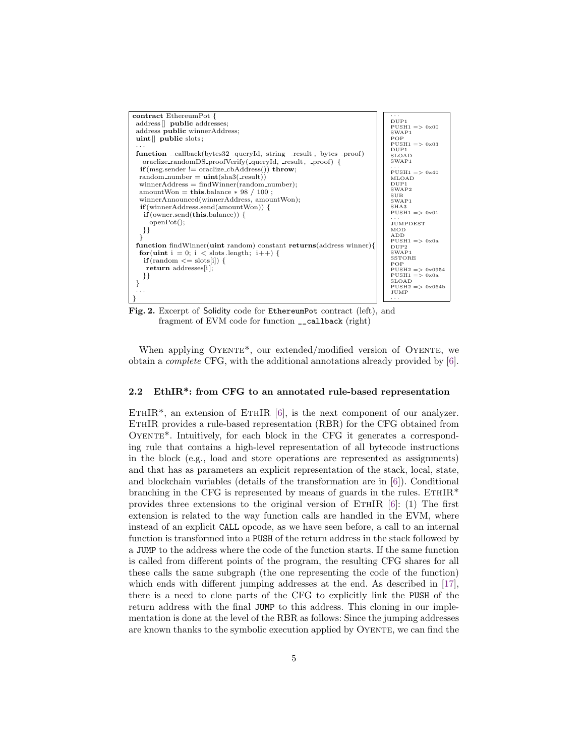| contract EthereumPot {<br>address   public addresses;<br>address public winner Address;<br>$\text{uint}$ public slots;<br>.<br>function _callback(bytes32 _queryId, string _result, bytes _proof)<br>oraclize_randomDS_proofVerify(_queryId, _result, _proof) {<br>$if (msg. sender != oracle_cbAddress())$ throw;<br>$random_number = \text{uint}(\text{sha3}(\text{result}))$<br>$winnerAddress = findWinner(rangem11:1000;1000:1000;1000:1000:1000;1000:1000:1000:1000:1000:1000:1000:1000:1000:1000:1000:1000:1000:1000:1000:1000:1000:1000:1000:1000:1000:1000:1000:1000:1000:1000:1000:1000:1000:1000:1000:1000:1000:1000:1000:100$ | $\cdots$<br>DUP1<br>$PUSH1 \implies 0x00$<br>SWAP1<br>POP<br>$PUSH1 \implies 0 \times 03$<br>DUP1<br>SLOAD<br>SWAP1<br>$PUSH1 \implies 0x40$<br>MLOAD<br>DUP1<br>SWAP2                                                                                                 |
|-------------------------------------------------------------------------------------------------------------------------------------------------------------------------------------------------------------------------------------------------------------------------------------------------------------------------------------------------------------------------------------------------------------------------------------------------------------------------------------------------------------------------------------------------------------------------------------------------------------------------------------------|------------------------------------------------------------------------------------------------------------------------------------------------------------------------------------------------------------------------------------------------------------------------|
| amount Won = this balance $* 98 / 100$ ;<br>winnerAnnounced(winnerAddress, amountWon);<br>$if(winnerAddress.send(amountWon))$ {<br>$if(owner.send(this.balance))$ }<br>openPot();<br>$\}$<br>function findWinner(uint random) constant returns(address winner){<br>for(uint i = 0; i < slots length; i++) {<br>$\mathbf{if}(\text{random} \leq s \cdot \text{dots}[i])$<br>return addresses[i];<br>}}                                                                                                                                                                                                                                     | <b>SUB</b><br>SWAP1<br>SHA3<br>$PUSH1 \implies 0x01$<br>.<br>JUMPDEST<br>MOD<br>ADD<br>$PUSH1 \equiv 0 \times 0a$<br>DUP2<br>SWAP1<br>SSTORE<br>POP<br>$PUSH2 \implies 0 \times 0954$<br>$PUSH1 \implies 0x0a$<br>SLOAD<br>$PUSH2 \implies 0x064b$<br>JUMP<br>$\cdots$ |

<span id="page-4-0"></span>Fig. 2. Excerpt of Solidity code for EthereumPot contract (left), and fragment of EVM code for function \_\_callback (right)

When applying OYENTE<sup>\*</sup>, our extended/modified version of OYENTE, we obtain a complete CFG, with the additional annotations already provided by [\[6\]](#page-13-1).

### <span id="page-4-1"></span>2.2 EthIR\*: from CFG to an annotated rule-based representation

ETHIR<sup>\*</sup>, an extension of ETHIR  $[6]$ , is the next component of our analyzer. EthIR provides a rule-based representation (RBR) for the CFG obtained from Oyente\*. Intuitively, for each block in the CFG it generates a corresponding rule that contains a high-level representation of all bytecode instructions in the block (e.g., load and store operations are represented as assignments) and that has as parameters an explicit representation of the stack, local, state, and blockchain variables (details of the transformation are in [\[6\]](#page-13-1)). Conditional branching in the CFG is represented by means of guards in the rules.  $ETHIR*$ provides three extensions to the original version of ETHIR  $[6]$ : (1) The first extension is related to the way function calls are handled in the EVM, where instead of an explicit CALL opcode, as we have seen before, a call to an internal function is transformed into a PUSH of the return address in the stack followed by a JUMP to the address where the code of the function starts. If the same function is called from different points of the program, the resulting CFG shares for all these calls the same subgraph (the one representing the code of the function) which ends with different jumping addresses at the end. As described in [\[17\]](#page-14-3), there is a need to clone parts of the CFG to explicitly link the PUSH of the return address with the final JUMP to this address. This cloning in our implementation is done at the level of the RBR as follows: Since the jumping addresses are known thanks to the symbolic execution applied by Oyente, we can find the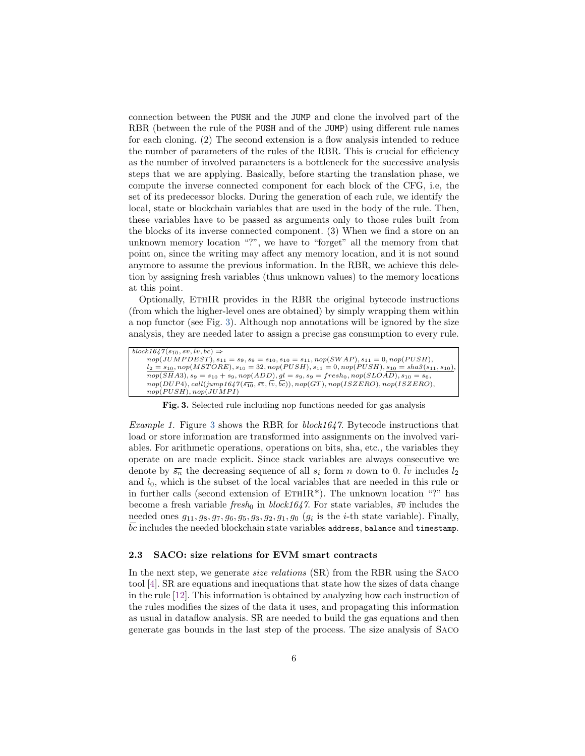connection between the PUSH and the JUMP and clone the involved part of the RBR (between the rule of the PUSH and of the JUMP) using different rule names for each cloning. (2) The second extension is a flow analysis intended to reduce the number of parameters of the rules of the RBR. This is crucial for efficiency as the number of involved parameters is a bottleneck for the successive analysis steps that we are applying. Basically, before starting the translation phase, we compute the inverse connected component for each block of the CFG, i.e, the set of its predecessor blocks. During the generation of each rule, we identify the local, state or blockchain variables that are used in the body of the rule. Then, these variables have to be passed as arguments only to those rules built from the blocks of its inverse connected component. (3) When we find a store on an unknown memory location "?", we have to "forget" all the memory from that point on, since the writing may affect any memory location, and it is not sound anymore to assume the previous information. In the RBR, we achieve this deletion by assigning fresh variables (thus unknown values) to the memory locations at this point.

Optionally, EthIR provides in the RBR the original bytecode instructions (from which the higher-level ones are obtained) by simply wrapping them within a nop functor (see Fig. [3\)](#page-5-0). Although nop annotations will be ignored by the size analysis, they are needed later to assign a precise gas consumption to every rule.

| $block1647(\overline{s_{10}}, \overline{s_v}, w, bc) \Rightarrow$                                                                      |  |
|----------------------------------------------------------------------------------------------------------------------------------------|--|
| $nop(JUMPDEST), s_{11} = s_9, s_9 = s_{10}, s_{10} = s_{11}, nop(SWAP), s_{11} = 0, nop(PUSH),$                                        |  |
| $l_2 = s_{10}, \text{nop}(MSTORE), s_{10} = 32, \text{nop}(PUSH), s_{11} = 0, \text{nop}(PUSH), s_{10} = \text{sha3}(s_{11}, s_{10}),$ |  |
| $nop(SHA3), s_9 = s_{10} + s_9, nop(ADD), gl = s_9, s_9 = fresh_0, nop(SLOAD), s_{10} = s_6,$                                          |  |
| $nop(DUP4), call(ijump1647(\overline{s_{10}}, \overline{sv}, \overline{lv}, \overline{bv}), nop(GT), nop(ISZERO), nop(ISZERO),$        |  |
| nop(PUSH), nop(JUMPI)                                                                                                                  |  |

Fig. 3. Selected rule including nop functions needed for gas analysis

<span id="page-5-0"></span>Example 1. Figure [3](#page-5-0) shows the RBR for block1647. Bytecode instructions that load or store information are transformed into assignments on the involved variables. For arithmetic operations, operations on bits, sha, etc., the variables they operate on are made explicit. Since stack variables are always consecutive we denote by  $\overline{s_n}$  the decreasing sequence of all  $s_i$  form n down to 0.  $\overline{lv}$  includes  $l_2$ and  $l_0$ , which is the subset of the local variables that are needed in this rule or in further calls (second extension of  $ETHIR^*$ ). The unknown location "?" has become a fresh variable fresh<sub>0</sub> in block1647. For state variables,  $s\overline{v}$  includes the needed ones  $g_{11}, g_8, g_7, g_6, g_5, g_3, g_2, g_1, g_0$  ( $g_i$  is the *i*-th state variable). Finally,  $b\overline{c}$  includes the needed blockchain state variables address, balance and timestamp.

### 2.3 SACO: size relations for EVM smart contracts

In the next step, we generate *size relations* (SR) from the RBR using the SACO tool [\[4\]](#page-13-2). SR are equations and inequations that state how the sizes of data change in the rule [\[12\]](#page-14-6). This information is obtained by analyzing how each instruction of the rules modifies the sizes of the data it uses, and propagating this information as usual in dataflow analysis. SR are needed to build the gas equations and then generate gas bounds in the last step of the process. The size analysis of Saco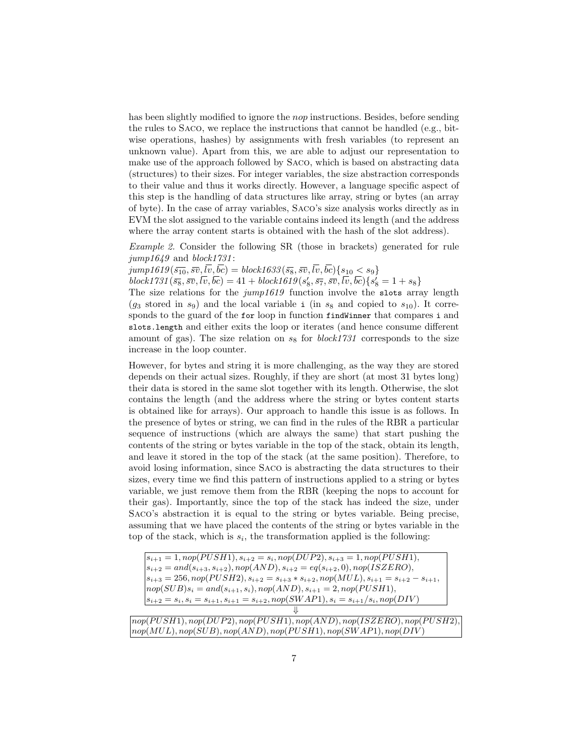has been slightly modified to ignore the *nop* instructions. Besides, before sending the rules to Saco, we replace the instructions that cannot be handled (e.g., bitwise operations, hashes) by assignments with fresh variables (to represent an unknown value). Apart from this, we are able to adjust our representation to make use of the approach followed by Saco, which is based on abstracting data (structures) to their sizes. For integer variables, the size abstraction corresponds to their value and thus it works directly. However, a language specific aspect of this step is the handling of data structures like array, string or bytes (an array of byte). In the case of array variables, Saco's size analysis works directly as in EVM the slot assigned to the variable contains indeed its length (and the address where the array content starts is obtained with the hash of the slot address).

<span id="page-6-0"></span>Example 2. Consider the following SR (those in brackets) generated for rule  $jump1649$  and  $block1731$ :

 $jump1619(\overline{s_{10}}, \overline{s}\overline{v}, \overline{lv}, \overline{bc}) = block1633(\overline{s_8}, \overline{s}\overline{v}, \overline{lv}, \overline{bc})\{s_{10} < s_9\}$ 

 $block1731(\bar{s}_8, \bar{s}\bar{v}, \bar{lv}, \bar{bc}) = 41 + block1619(s'_8, \bar{s}_7, \bar{s}\bar{v}, \bar{lv}, \bar{bc})\{s'_8 = 1 + s_8\}$ 

The size relations for the jump1619 function involve the slots array length  $(g_3$  stored in  $s_9$ ) and the local variable i (in  $s_8$  and copied to  $s_{10}$ ). It corresponds to the guard of the for loop in function findWinner that compares i and slots.length and either exits the loop or iterates (and hence consume different amount of gas). The size relation on  $s_8$  for block1731 corresponds to the size increase in the loop counter.

However, for bytes and string it is more challenging, as the way they are stored depends on their actual sizes. Roughly, if they are short (at most 31 bytes long) their data is stored in the same slot together with its length. Otherwise, the slot contains the length (and the address where the string or bytes content starts is obtained like for arrays). Our approach to handle this issue is as follows. In the presence of bytes or string, we can find in the rules of the RBR a particular sequence of instructions (which are always the same) that start pushing the contents of the string or bytes variable in the top of the stack, obtain its length, and leave it stored in the top of the stack (at the same position). Therefore, to avoid losing information, since Saco is abstracting the data structures to their sizes, every time we find this pattern of instructions applied to a string or bytes variable, we just remove them from the RBR (keeping the nops to account for their gas). Importantly, since the top of the stack has indeed the size, under Saco's abstraction it is equal to the string or bytes variable. Being precise, assuming that we have placed the contents of the string or bytes variable in the top of the stack, which is  $s_i$ , the transformation applied is the following:

| $ s_{i+1} = 1,$ nop(PUSH1), $s_{i+2} = s_i$ , nop(DUP2), $s_{i+3} = 1$ , nop(PUSH1),               |
|----------------------------------------------------------------------------------------------------|
| $ s_{i+2} = and(s_{i+3}, s_{i+2}),$ nop(AND), $s_{i+2} = eq(s_{i+2}, 0),$ nop(ISZERO),             |
| $ s_{i+3}  = 256, nop(PUSH2), s_{i+2} = s_{i+3} * s_{i+2}, nop(MUL), s_{i+1} = s_{i+2} - s_{i+1},$ |
| $ nop(SUB)s_i = and(s_{i+1}, s_i), nop(AND), s_{i+1} = 2, nop(PUSH1),$                             |
| $ s_{i+2} = s_i, s_i = s_{i+1}, s_{i+1} = s_{i+2}, nop(SWAP1), s_i = s_{i+1}/s_i, nop(DIV)$        |

⇓  $\overline{nop(PUSH1), nop(DUP2), nop(PUSH1), nop(AND), nop(ISZERO), nop(PUSH2),}$  $|nop(MUL), nop(SUB), nop(AND), nop(PUSH1), nop(SWAP1), nop(DIV)$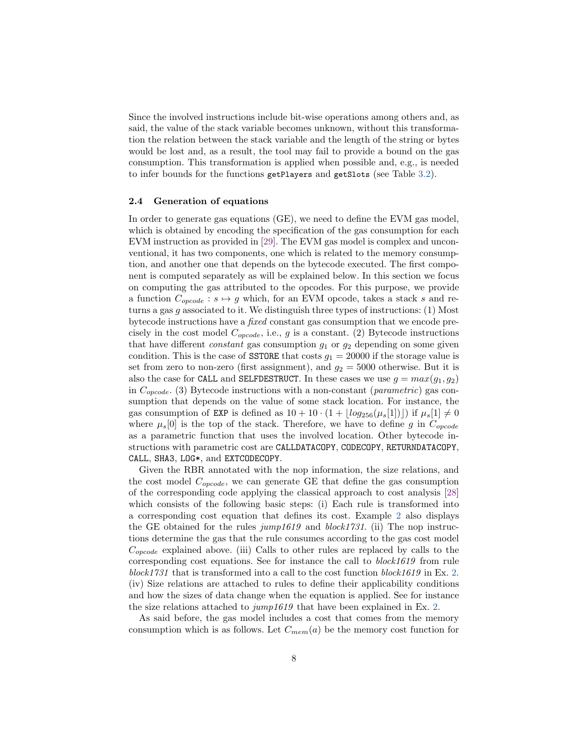Since the involved instructions include bit-wise operations among others and, as said, the value of the stack variable becomes unknown, without this transformation the relation between the stack variable and the length of the string or bytes would be lost and, as a result, the tool may fail to provide a bound on the gas consumption. This transformation is applied when possible and, e.g., is needed to infer bounds for the functions getPlayers and getSlots (see Table [3.2\)](#page-11-0).

#### 2.4 Generation of equations

In order to generate gas equations (GE), we need to define the EVM gas model, which is obtained by encoding the specification of the gas consumption for each EVM instruction as provided in [\[29\]](#page-14-0). The EVM gas model is complex and unconventional, it has two components, one which is related to the memory consumption, and another one that depends on the bytecode executed. The first component is computed separately as will be explained below. In this section we focus on computing the gas attributed to the opcodes. For this purpose, we provide a function  $C_{opcode} : s \mapsto g$  which, for an EVM opcode, takes a stack s and returns a gas  $g$  associated to it. We distinguish three types of instructions: (1) Most bytecode instructions have a fixed constant gas consumption that we encode precisely in the cost model  $C_{\text{opcode}}$ , i.e., g is a constant. (2) Bytecode instructions that have different *constant* gas consumption  $g_1$  or  $g_2$  depending on some given condition. This is the case of SSTORE that costs  $g_1 = 20000$  if the storage value is set from zero to non-zero (first assignment), and  $g_2 = 5000$  otherwise. But it is also the case for CALL and SELFDESTRUCT. In these cases we use  $g = max(g_1, g_2)$ in  $C_{\text{procedure}}$ . (3) Bytecode instructions with a non-constant (*parametric*) gas consumption that depends on the value of some stack location. For instance, the gas consumption of EXP is defined as  $10 + 10 \cdot (1 + \lfloor log_{256}(\mu_s[1]) \rfloor)$  if  $\mu_s[1] \neq 0$ where  $\mu_s[0]$  is the top of the stack. Therefore, we have to define g in  $C_{opcode}$ as a parametric function that uses the involved location. Other bytecode instructions with parametric cost are CALLDATACOPY, CODECOPY, RETURNDATACOPY, CALL, SHA3, LOG\*, and EXTCODECOPY.

Given the RBR annotated with the nop information, the size relations, and the cost model  $C_{opcode}$ , we can generate GE that define the gas consumption of the corresponding code applying the classical approach to cost analysis [\[28\]](#page-14-7) which consists of the following basic steps: (i) Each rule is transformed into a corresponding cost equation that defines its cost. Example [2](#page-6-0) also displays the GE obtained for the rules jump1619 and  $block1731$ . (ii) The nop instructions determine the gas that the rule consumes according to the gas cost model  $C_{\text{opcode}}$  explained above. (iii) Calls to other rules are replaced by calls to the corresponding cost equations. See for instance the call to  $block1619$  from rule block1731 that is transformed into a call to the cost function block1619 in Ex. [2.](#page-6-0) (iv) Size relations are attached to rules to define their applicability conditions and how the sizes of data change when the equation is applied. See for instance the size relations attached to  $jump1619$  that have been explained in Ex. [2.](#page-6-0)

As said before, the gas model includes a cost that comes from the memory consumption which is as follows. Let  $C_{mem}(a)$  be the memory cost function for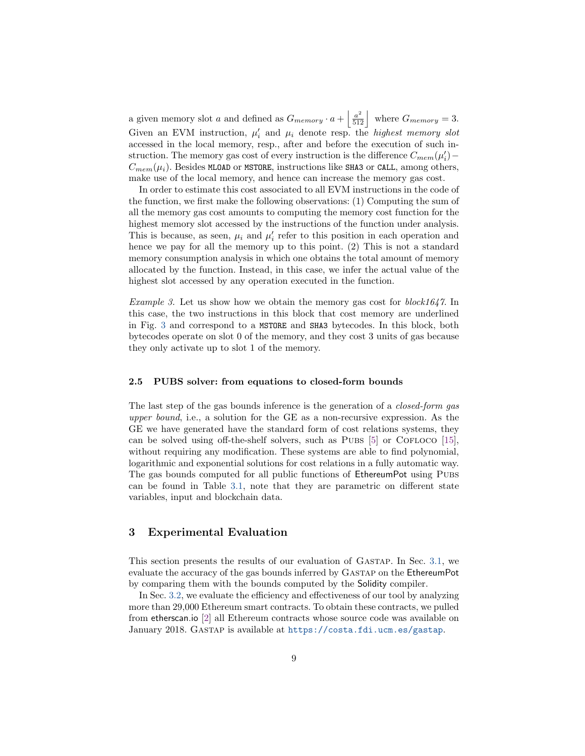a given memory slot a and defined as  $G_{memory} \cdot a + \left| \frac{a^2}{512} \right|$  where  $G_{memory} = 3$ . Given an EVM instruction,  $\mu'_i$  and  $\mu_i$  denote resp. the *highest memory slot* accessed in the local memory, resp., after and before the execution of such instruction. The memory gas cost of every instruction is the difference  $C_{mem}(\mu_i')$  –  $C_{mem}(\mu_i)$ . Besides MLOAD or MSTORE, instructions like SHA3 or CALL, among others, make use of the local memory, and hence can increase the memory gas cost.

In order to estimate this cost associated to all EVM instructions in the code of the function, we first make the following observations: (1) Computing the sum of all the memory gas cost amounts to computing the memory cost function for the highest memory slot accessed by the instructions of the function under analysis. This is because, as seen,  $\mu_i$  and  $\mu'_i$  refer to this position in each operation and hence we pay for all the memory up to this point. (2) This is not a standard memory consumption analysis in which one obtains the total amount of memory allocated by the function. Instead, in this case, we infer the actual value of the highest slot accessed by any operation executed in the function.

*Example 3.* Let us show how we obtain the memory gas cost for  $block1647$ . In this case, the two instructions in this block that cost memory are underlined in Fig. [3](#page-5-0) and correspond to a MSTORE and SHA3 bytecodes. In this block, both bytecodes operate on slot 0 of the memory, and they cost 3 units of gas because they only activate up to slot 1 of the memory.

### 2.5 PUBS solver: from equations to closed-form bounds

The last step of the gas bounds inference is the generation of a *closed-form gas* upper bound, i.e., a solution for the GE as a non-recursive expression. As the GE we have generated have the standard form of cost relations systems, they can be solved using off-the-shelf solvers, such as PUBS  $[5]$  or COFLOCO  $[15]$ , without requiring any modification. These systems are able to find polynomial, logarithmic and exponential solutions for cost relations in a fully automatic way. The gas bounds computed for all public functions of EthereumPot using Pubs can be found in Table [3.1,](#page-10-0) note that they are parametric on different state variables, input and blockchain data.

# <span id="page-8-0"></span>3 Experimental Evaluation

This section presents the results of our evaluation of Gastap. In Sec. [3.1,](#page-9-0) we evaluate the accuracy of the gas bounds inferred by Gastap on the EthereumPot by comparing them with the bounds computed by the Solidity compiler.

In Sec. [3.2,](#page-10-1) we evaluate the efficiency and effectiveness of our tool by analyzing more than 29,000 Ethereum smart contracts. To obtain these contracts, we pulled from etherscan.io [\[2\]](#page-13-5) all Ethereum contracts whose source code was available on January 2018. Gastap is available at <https://costa.fdi.ucm.es/gastap>.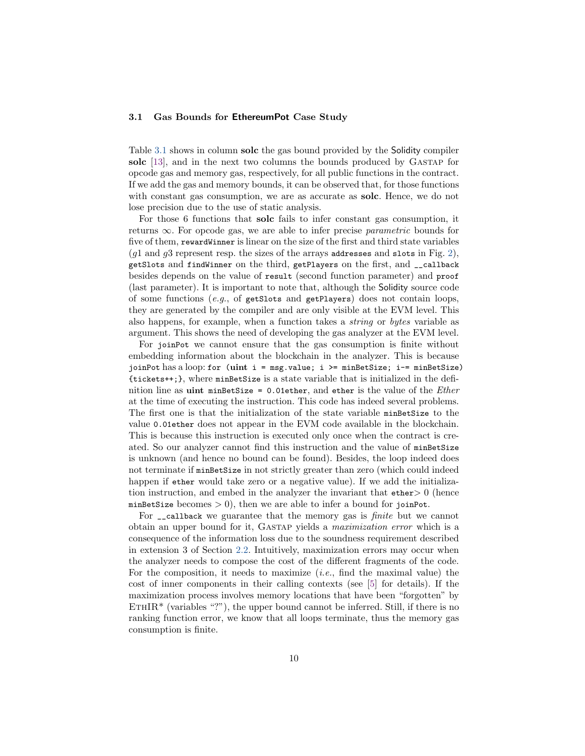#### <span id="page-9-0"></span>3.1 Gas Bounds for EthereumPot Case Study

Table [3.1](#page-10-0) shows in column solc the gas bound provided by the Solidity compiler solc [\[13\]](#page-14-1), and in the next two columns the bounds produced by Gastap for opcode gas and memory gas, respectively, for all public functions in the contract. If we add the gas and memory bounds, it can be observed that, for those functions with constant gas consumption, we are as accurate as **solc**. Hence, we do not lose precision due to the use of static analysis.

For those 6 functions that solc fails to infer constant gas consumption, it returns  $\infty$ . For opcode gas, we are able to infer precise *parametric* bounds for five of them, rewardWinner is linear on the size of the first and third state variables  $(q1 \text{ and } q3 \text{ represent resp. the sizes of the arrays addresses and slots in Fig. 2),$  $(q1 \text{ and } q3 \text{ represent resp. the sizes of the arrays addresses and slots in Fig. 2),$  $(q1 \text{ and } q3 \text{ represent resp. the sizes of the arrays addresses and slots in Fig. 2),$ getSlots and findWinner on the third, getPlayers on the first, and \_\_callback besides depends on the value of result (second function parameter) and proof (last parameter). It is important to note that, although the Solidity source code of some functions  $(e.g.,$  of getSlots and getPlayers) does not contain loops, they are generated by the compiler and are only visible at the EVM level. This also happens, for example, when a function takes a string or bytes variable as argument. This shows the need of developing the gas analyzer at the EVM level.

For joinPot we cannot ensure that the gas consumption is finite without embedding information about the blockchain in the analyzer. This is because joinPot has a loop: for (uint i = msg.value; i >= minBetSize; i-= minBetSize) {tickets++;}, where minBetSize is a state variable that is initialized in the definition line as uint minBetSize =  $0.01$ ether, and ether is the value of the *Ether* at the time of executing the instruction. This code has indeed several problems. The first one is that the initialization of the state variable minBetSize to the value 0.01ether does not appear in the EVM code available in the blockchain. This is because this instruction is executed only once when the contract is created. So our analyzer cannot find this instruction and the value of minBetSize is unknown (and hence no bound can be found). Besides, the loop indeed does not terminate if minBetSize in not strictly greater than zero (which could indeed happen if ether would take zero or a negative value). If we add the initialization instruction, and embed in the analyzer the invariant that ether> 0 (hence minBetSize becomes  $> 0$ , then we are able to infer a bound for joinPot.

For \_\_callback we guarantee that the memory gas is finite but we cannot obtain an upper bound for it, Gastap yields a maximization error which is a consequence of the information loss due to the soundness requirement described in extension 3 of Section [2.2.](#page-4-1) Intuitively, maximization errors may occur when the analyzer needs to compose the cost of the different fragments of the code. For the composition, it needs to maximize  $(i.e.,$  find the maximal value) the cost of inner components in their calling contexts (see [\[5\]](#page-13-3) for details). If the maximization process involves memory locations that have been "forgotten" by ETHIR<sup>\*</sup> (variables "?"), the upper bound cannot be inferred. Still, if there is no ranking function error, we know that all loops terminate, thus the memory gas consumption is finite.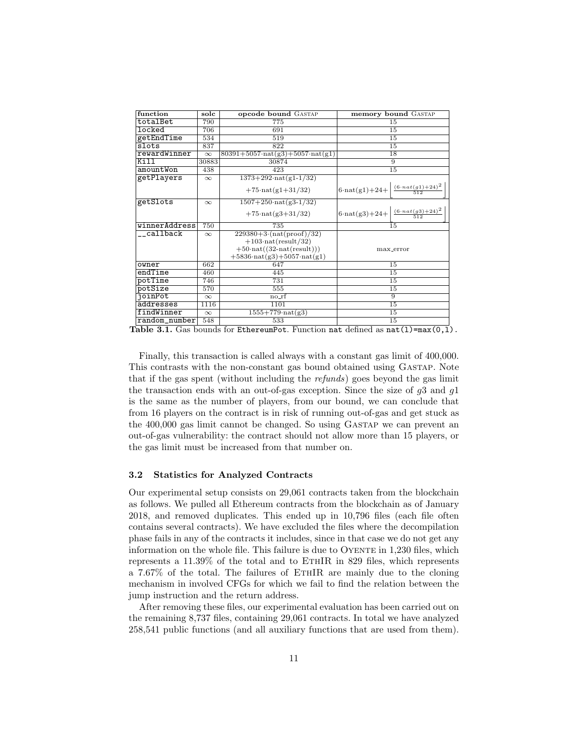<span id="page-10-0"></span>

| function      | solc     | opcode bound GASTAP                                                                                                                                             | memory bound GASTAP |                                                                                                   |  |
|---------------|----------|-----------------------------------------------------------------------------------------------------------------------------------------------------------------|---------------------|---------------------------------------------------------------------------------------------------|--|
| totalBet      | 790      | 775                                                                                                                                                             | 15                  |                                                                                                   |  |
| locked        | 706      | 691                                                                                                                                                             | 15                  |                                                                                                   |  |
| getEndTime    | 534      | 519                                                                                                                                                             | 15                  |                                                                                                   |  |
| slots         | 837      | 822                                                                                                                                                             | 15                  |                                                                                                   |  |
| rewardWinner  | $\infty$ | $80391+5057 \cdot \text{nat(g3)}+5057 \cdot \text{nat(g1)}$                                                                                                     | 18                  |                                                                                                   |  |
| Kill          | 30883    | 30874                                                                                                                                                           | 9                   |                                                                                                   |  |
| amountWon     | 438      | 423                                                                                                                                                             | 15                  |                                                                                                   |  |
| getPlayers    | $\infty$ | $1373+292 \cdot \text{nat}(g1-1/32)$                                                                                                                            |                     |                                                                                                   |  |
|               |          | $+75 \cdot \text{nat}(g1+31/32)$                                                                                                                                |                     | $6 \cdot \text{nat}(g1) + 24 + \left( \frac{(6 \cdot n \cdot \text{at}(g1) + 24)^2}{512} \right)$ |  |
| getSlots      | $\infty$ | $1507+250 \cdot \text{nat}(g3-1/32)$                                                                                                                            |                     |                                                                                                   |  |
|               |          | $+75 \cdot \text{nat}(g3+31/32)$                                                                                                                                |                     | 6. nat(g3) + 24 + $\frac{(6 \cdot n a t (g3) + 24)^2}{512}$                                       |  |
| winnerAddress | 750      | 735                                                                                                                                                             |                     | 15                                                                                                |  |
| $\_$ callback | $\infty$ | $229380+3.$ (nat(proof)/32)                                                                                                                                     |                     |                                                                                                   |  |
|               |          | $+103 \cdot \text{nat}(\text{result}/32)$<br>$+50 \cdot \text{nat}((32 \text{nat}(\text{result})))$<br>$+5836 \cdot \text{nat(g3)} + 5057 \cdot \text{nat(g1)}$ |                     | max_error                                                                                         |  |
| owner         | 662      | 647                                                                                                                                                             | 15                  |                                                                                                   |  |
| endTime       | 460      | 445                                                                                                                                                             | 15                  |                                                                                                   |  |
| potTime       | 746      | 731                                                                                                                                                             | 15                  |                                                                                                   |  |
| potSize       | 570      | 555                                                                                                                                                             | 15                  |                                                                                                   |  |
| joinPot       | $\infty$ | no_rf                                                                                                                                                           | 9                   |                                                                                                   |  |
| addresses     | 1116     | 1101                                                                                                                                                            | 15                  |                                                                                                   |  |
| findWinner    | $\infty$ | $1555 + 779 \cdot \text{nat(g3)}$                                                                                                                               | 15                  |                                                                                                   |  |
| random_number | 548      | 533                                                                                                                                                             | 15                  |                                                                                                   |  |

Table 3.1. Gas bounds for EthereumPot. Function nat defined as  $nat(1)=max(0,1)$ .

Finally, this transaction is called always with a constant gas limit of 400,000. This contrasts with the non-constant gas bound obtained using Gastap. Note that if the gas spent (without including the refunds) goes beyond the gas limit the transaction ends with an out-of-gas exception. Since the size of  $q3$  and  $q1$ is the same as the number of players, from our bound, we can conclude that from 16 players on the contract is in risk of running out-of-gas and get stuck as the 400,000 gas limit cannot be changed. So using Gastap we can prevent an out-of-gas vulnerability: the contract should not allow more than 15 players, or the gas limit must be increased from that number on.

### <span id="page-10-1"></span>3.2 Statistics for Analyzed Contracts

Our experimental setup consists on 29,061 contracts taken from the blockchain as follows. We pulled all Ethereum contracts from the blockchain as of January 2018, and removed duplicates. This ended up in 10,796 files (each file often contains several contracts). We have excluded the files where the decompilation phase fails in any of the contracts it includes, since in that case we do not get any information on the whole file. This failure is due to OYENTE in 1,230 files, which represents a  $11.39\%$  of the total and to ETHIR in 829 files, which represents a 7.67% of the total. The failures of EthIR are mainly due to the cloning mechanism in involved CFGs for which we fail to find the relation between the jump instruction and the return address.

After removing these files, our experimental evaluation has been carried out on the remaining 8,737 files, containing 29,061 contracts. In total we have analyzed 258,541 public functions (and all auxiliary functions that are used from them).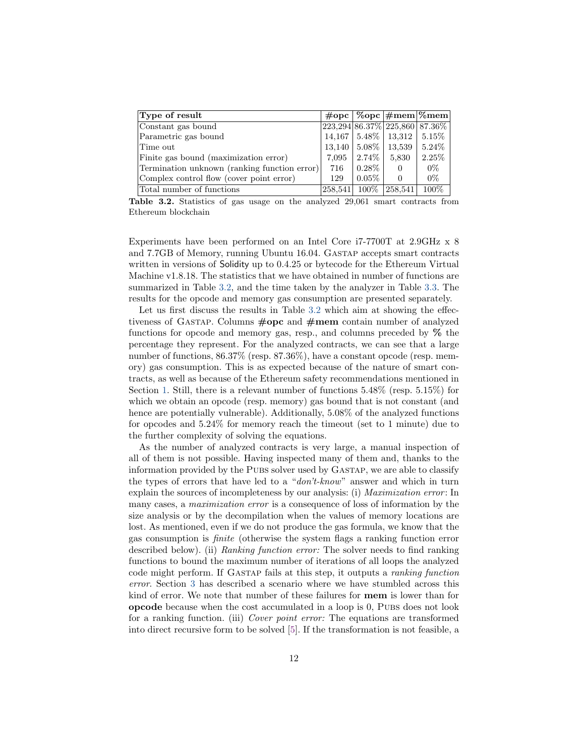| Type of result                               |         |            | $\#$ opc   $\%$ opc   $\#$ mem   $\%$ mem |          |
|----------------------------------------------|---------|------------|-------------------------------------------|----------|
| Constant gas bound                           |         |            | $223,294$ 86.37% 225,860 87.36%           |          |
| Parametric gas bound                         |         |            | $14,167$   $5.48\%$   $13,312$   $5.15\%$ |          |
| Time out                                     |         |            | $13,140$   $5.08\%$   $13,539$            | $5.24\%$ |
| Finite gas bound (maximization error)        | 7,095   | $ 2.74\% $ | 5,830                                     | $2.25\%$ |
| Termination unknown (ranking function error) | 716     | $ 0.28\% $ | $\overline{0}$                            | $0\%$    |
| Complex control flow (cover point error)     | 129     | $0.05\%$   |                                           | $0\%$    |
| Total number of functions                    | 258,541 |            | 100\% 258,541                             | 100\%    |

<span id="page-11-0"></span>Table 3.2. Statistics of gas usage on the analyzed 29,061 smart contracts from Ethereum blockchain

Experiments have been performed on an Intel Core i7-7700T at 2.9GHz x 8 and 7.7GB of Memory, running Ubuntu 16.04. Gastap accepts smart contracts written in versions of Solidity up to 0.4.25 or bytecode for the Ethereum Virtual Machine v1.8.18. The statistics that we have obtained in number of functions are summarized in Table [3.2,](#page-11-0) and the time taken by the analyzer in Table [3.3.](#page-12-0) The results for the opcode and memory gas consumption are presented separately.

Let us first discuss the results in Table [3.2](#page-11-0) which aim at showing the effectiveness of GASTAP. Columns  $\#$ **opc** and  $\#$ **mem** contain number of analyzed functions for opcode and memory gas, resp., and columns preceded by  $\%$  the percentage they represent. For the analyzed contracts, we can see that a large number of functions,  $86.37\%$  (resp.  $87.36\%$ ), have a constant opcode (resp. memory) gas consumption. This is as expected because of the nature of smart contracts, as well as because of the Ethereum safety recommendations mentioned in Section [1.](#page-0-0) Still, there is a relevant number of functions 5.48% (resp. 5.15%) for which we obtain an opcode (resp. memory) gas bound that is not constant (and hence are potentially vulnerable). Additionally, 5.08% of the analyzed functions for opcodes and 5.24% for memory reach the timeout (set to 1 minute) due to the further complexity of solving the equations.

As the number of analyzed contracts is very large, a manual inspection of all of them is not possible. Having inspected many of them and, thanks to the information provided by the Pubs solver used by Gastap, we are able to classify the types of errors that have led to a "don't-know" answer and which in turn explain the sources of incompleteness by our analysis: (i) *Maximization error*: In many cases, a *maximization error* is a consequence of loss of information by the size analysis or by the decompilation when the values of memory locations are lost. As mentioned, even if we do not produce the gas formula, we know that the gas consumption is finite (otherwise the system flags a ranking function error described below). (ii) Ranking function error: The solver needs to find ranking functions to bound the maximum number of iterations of all loops the analyzed code might perform. If GASTAP fails at this step, it outputs a *ranking function* error. Section [3](#page-8-0) has described a scenario where we have stumbled across this kind of error. We note that number of these failures for mem is lower than for opcode because when the cost accumulated in a loop is 0, Pubs does not look for a ranking function. (iii) Cover point error: The equations are transformed into direct recursive form to be solved [\[5\]](#page-13-3). If the transformation is not feasible, a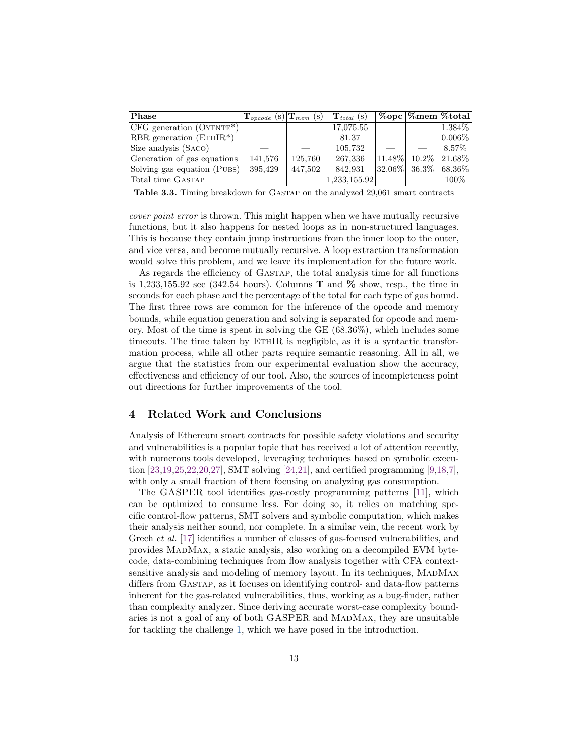| $\mathbf{P}$ hase               | $\mathbf{T}_{\textit{opcode}}$ (s) $\mathbf{T}_{\textit{mem}}$ (s) |         | $\mathbf{T}_{total}$ (s) |        | $\%$ opc   $\%$ mem  $\%$ total |            |
|---------------------------------|--------------------------------------------------------------------|---------|--------------------------|--------|---------------------------------|------------|
| $ CFG$ generation $(OYENTE^*) $ |                                                                    |         | 17,075.55                |        |                                 | $1.384\%$  |
| $ RBR$ generation $(ETHIR^*)$   |                                                                    |         | 81.37                    |        |                                 | $0.006\%$  |
| Size analysis (SACO)            |                                                                    |         | 105,732                  |        |                                 | $8.57\%$   |
| Generation of gas equations     | 141.576                                                            | 125,760 | 267,336                  | 11.48% | $10.2\%$                        | $ 21.68\%$ |
| Solving gas equation (PUBS)     | 395,429                                                            | 447,502 | 842,931                  |        | $ 32.06\% $ 36.3 $\%$           | $68.36\%$  |
| Total time GASTAP               |                                                                    |         | 1,233,155.92             |        |                                 | $100\%$    |

<span id="page-12-0"></span>Table 3.3. Timing breakdown for Gastap on the analyzed 29,061 smart contracts

cover point error is thrown. This might happen when we have mutually recursive functions, but it also happens for nested loops as in non-structured languages. This is because they contain jump instructions from the inner loop to the outer, and vice versa, and become mutually recursive. A loop extraction transformation would solve this problem, and we leave its implementation for the future work.

As regards the efficiency of Gastap, the total analysis time for all functions is 1,233,155.92 sec (342.54 hours). Columns  $\bf{T}$  and  $\%$  show, resp., the time in seconds for each phase and the percentage of the total for each type of gas bound. The first three rows are common for the inference of the opcode and memory bounds, while equation generation and solving is separated for opcode and memory. Most of the time is spent in solving the GE (68.36%), which includes some timeouts. The time taken by ETHIR is negligible, as it is a syntactic transformation process, while all other parts require semantic reasoning. All in all, we argue that the statistics from our experimental evaluation show the accuracy, effectiveness and efficiency of our tool. Also, the sources of incompleteness point out directions for further improvements of the tool.

# 4 Related Work and Conclusions

Analysis of Ethereum smart contracts for possible safety violations and security and vulnerabilities is a popular topic that has received a lot of attention recently, with numerous tools developed, leveraging techniques based on symbolic execution [\[23](#page-14-9)[,19,](#page-14-10)[25](#page-14-11)[,22](#page-14-12)[,20,](#page-14-13)[27\]](#page-14-14), SMT solving [\[24,](#page-14-15)[21\]](#page-14-16), and certified programming [\[9,](#page-13-7)[18,](#page-14-17)[7\]](#page-13-8), with only a small fraction of them focusing on analyzing gas consumption.

The GASPER tool identifies gas-costly programming patterns [\[11\]](#page-14-18), which can be optimized to consume less. For doing so, it relies on matching specific control-flow patterns, SMT solvers and symbolic computation, which makes their analysis neither sound, nor complete. In a similar vein, the recent work by Grech *et al.* [\[17\]](#page-14-3) identifies a number of classes of gas-focused vulnerabilities, and provides MadMax, a static analysis, also working on a decompiled EVM bytecode, data-combining techniques from flow analysis together with CFA contextsensitive analysis and modeling of memory layout. In its techniques, MADMAX differs from Gastap, as it focuses on identifying control- and data-flow patterns inherent for the gas-related vulnerabilities, thus, working as a bug-finder, rather than complexity analyzer. Since deriving accurate worst-case complexity boundaries is not a goal of any of both GASPER and MADMAX, they are unsuitable for tackling the challenge [1,](#page-0-0) which we have posed in the introduction.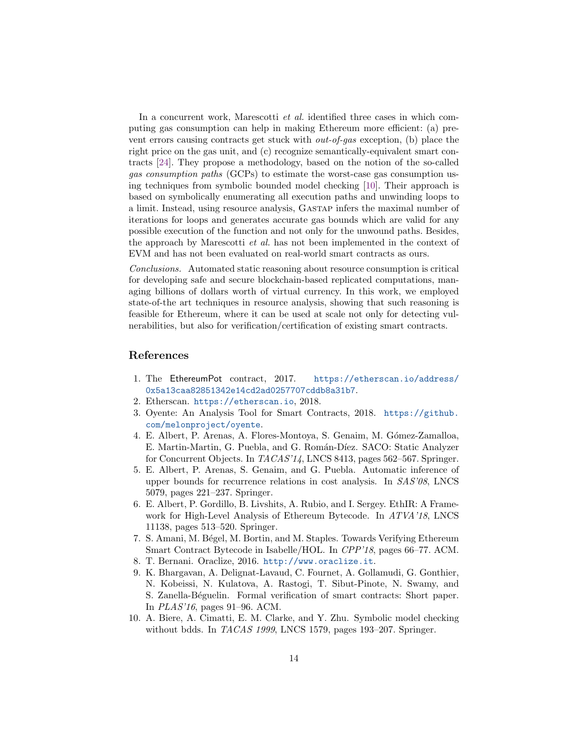In a concurrent work, Marescotti *et al.* identified three cases in which computing gas consumption can help in making Ethereum more efficient: (a) prevent errors causing contracts get stuck with out-of-gas exception, (b) place the right price on the gas unit, and (c) recognize semantically-equivalent smart contracts [\[24\]](#page-14-15). They propose a methodology, based on the notion of the so-called gas consumption paths (GCPs) to estimate the worst-case gas consumption using techniques from symbolic bounded model checking [\[10\]](#page-13-9). Their approach is based on symbolically enumerating all execution paths and unwinding loops to a limit. Instead, using resource analysis, Gastap infers the maximal number of iterations for loops and generates accurate gas bounds which are valid for any possible execution of the function and not only for the unwound paths. Besides, the approach by Marescotti et al. has not been implemented in the context of EVM and has not been evaluated on real-world smart contracts as ours.

Conclusions. Automated static reasoning about resource consumption is critical for developing safe and secure blockchain-based replicated computations, managing billions of dollars worth of virtual currency. In this work, we employed state-of-the art techniques in resource analysis, showing that such reasoning is feasible for Ethereum, where it can be used at scale not only for detecting vulnerabilities, but also for verification/certification of existing smart contracts.

# References

- <span id="page-13-6"></span>1. The EthereumPot contract, 2017. [https://etherscan.io/address/](https://etherscan.io/address/0x5a13caa82851342e14cd2ad0257707cddb8a31b7) [0x5a13caa82851342e14cd2ad0257707cddb8a31b7](https://etherscan.io/address/0x5a13caa82851342e14cd2ad0257707cddb8a31b7).
- <span id="page-13-5"></span>2. Etherscan. <https://etherscan.io>, 2018.
- <span id="page-13-0"></span>3. Oyente: An Analysis Tool for Smart Contracts, 2018. [https://github.](https://github.com/melonproject/oyente) [com/melonproject/oyente](https://github.com/melonproject/oyente).
- <span id="page-13-2"></span>4. E. Albert, P. Arenas, A. Flores-Montoya, S. Genaim, M. Gómez-Zamalloa, E. Martin-Martin, G. Puebla, and G. Román-Díez. SACO: Static Analyzer for Concurrent Objects. In TACAS'14, LNCS 8413, pages 562–567. Springer.
- <span id="page-13-3"></span>5. E. Albert, P. Arenas, S. Genaim, and G. Puebla. Automatic inference of upper bounds for recurrence relations in cost analysis. In SAS'08, LNCS 5079, pages 221–237. Springer.
- <span id="page-13-1"></span>6. E. Albert, P. Gordillo, B. Livshits, A. Rubio, and I. Sergey. EthIR: A Framework for High-Level Analysis of Ethereum Bytecode. In ATVA'18, LNCS 11138, pages 513–520. Springer.
- <span id="page-13-8"></span>7. S. Amani, M. Bégel, M. Bortin, and M. Staples. Towards Verifying Ethereum Smart Contract Bytecode in Isabelle/HOL. In CPP'18, pages 66–77. ACM.
- <span id="page-13-4"></span>8. T. Bernani. Oraclize, 2016. <http://www.oraclize.it>.
- <span id="page-13-7"></span>9. K. Bhargavan, A. Delignat-Lavaud, C. Fournet, A. Gollamudi, G. Gonthier, N. Kobeissi, N. Kulatova, A. Rastogi, T. Sibut-Pinote, N. Swamy, and S. Zanella-Béguelin. Formal verification of smart contracts: Short paper. In PLAS'16, pages 91–96. ACM.
- <span id="page-13-9"></span>10. A. Biere, A. Cimatti, E. M. Clarke, and Y. Zhu. Symbolic model checking without bdds. In TACAS 1999, LNCS 1579, pages 193-207. Springer.